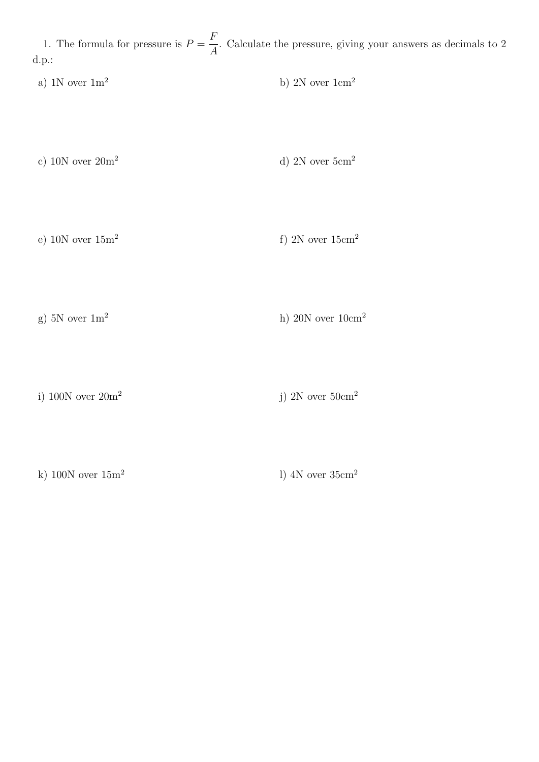1. The formula for pressure is  $P =$ F A . Calculate the pressure, giving your answers as decimals to 2 d.p.:

a) 1N over  $1 \text{m}^2$  b) 2N over  $1 \text{cm}^2$ 

c) 10N over  $20m^2$  d) 2N over  $5cm^2$ 

e)  $10N$  over  $15m<sup>2</sup>$ f) 2N over  $15 \text{cm}^2$ 

g) 5N over  $1\text{m}^2$  h) 20N over  $10\text{cm}^2$ 

i) 100N over 20m<sup>2</sup>

j) 2N over  $50 \text{cm}^2$ 

k) 100N over  $15m^2$ 

l) 4N over 35cm<sup>2</sup>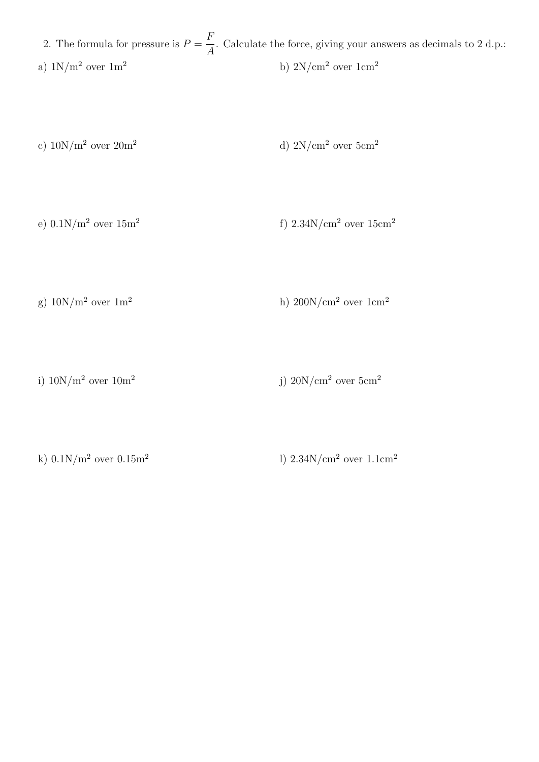2. The formula for pressure is  $P =$ F A . Calculate the force, giving your answers as decimals to 2 d.p.: a)  $1\mathrm{N/m^2}$  over  $1\mathrm{m^2}$  b)  $2\mathrm{N/cm^2}$  over  $1\mathrm{cm^2}$ 

c)  $10N/m^2$  over  $20m^2$  d)  $2N/cm^2$  over  $5cm^2$ 

e)  $0.1N/m^2$  over  $15m^2$ f)  $2.34$ N/cm<sup>2</sup> over  $15$ cm<sup>2</sup>

g)  $10N/m^2$  over  $1m^2$  h)  $200N/cm^2$  over  $1cm^2$ 

i)  $10N/m^2$  over  $10m^2$ j)  $20N/cm^2$  over  $5cm^2$ 

k)  $0.1N/m^2$  over  $0.15m^2$ 

l)  $2.34N/cm<sup>2</sup>$  over  $1.1cm<sup>2</sup>$